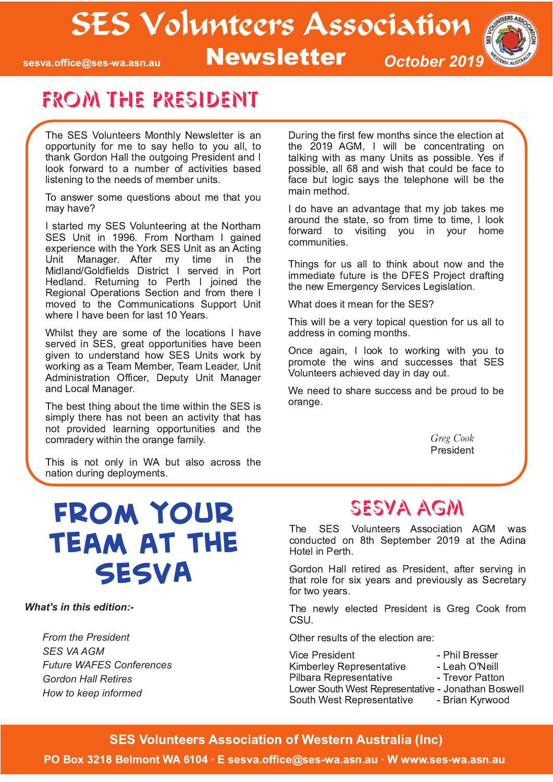# SES Volunteers Association #! Newsletter *October <sup>2019</sup>*

sesva.office@ses-wa.asn.au



## From the President

The SES Volunteers Monthly Newsletter is an opportunity for me to say hello to you all, to thank Gordon Hall the outgoing President and I look forward to a number of activities based listening to the needs of member units.

To answer some questions about me that you may have?

I started my SES Volunteering at the Northam SES Unit in 1996. From Northam I gained experience with the York SES Unit as an Acting Unit Manager. After my time in the Midland/Goldfields District I served in Port Hedland. Returning to Perth I joined the Regional Operations Section and from there I moved to the Communications Support Unit where I have been for last 10 Years.

Whilst they are some of the locations I have served in SES, great opportunities have been given to understand how SES Units work by working as a Team Member, Team Leader, Unit Administration Officer, Deputy Unit Manager and Local Manager.

The best thing about the time within the SES is simply there has not been an activity that has not provided learning opportunities and the comradery within the orange family.

During the first few months since the election at the 2019 AGM, I will be concentrating on talking with as many Units as possible. Yes if possible, all 68 and wish that could be face to face but logic says the telephone will be the main method.

I do have an advantage that my job takes me around the state, so from time to time, I look forward to visiting you in your home communities.

Things for us all to think about now and the immediate future is the DFES Project drafting the new Emergency Services Legislation.

What does it mean for the SES?

This will be a very topical question for us all to address in coming months.

Once again, I look to working with you to promote the wins and successes that SES Volunteers achieved day in day out.

We need to share success and be proud to be orange.

> *Greg Cook* President

This is not only in WA but also across the nation during deployments.

# **From your team at the SESVA**

*What's in this edition:*

*From the President SES VA AGM Future WAFES Conferences Gordon Hall Retires How to keep informed*

## SESVA AGM

The SES Volunteers Association AGM was  $\frac{1}{2}$  conducted on 8th September 2019 at the Adina Hotel in Perth.

Gordon Hall retired as President, after serving in that role for six years and previously as Secretary for two years.

The newly elected President is Greg Cook from CSU.

Other results of the election are:

| <b>Vice President</b>                              | - Phil Bresser  |
|----------------------------------------------------|-----------------|
| <b>Kimberley Representative</b>                    | - Leah O'Neill  |
| Pilbara Representative                             | - Trevor Patton |
| Lower South West Representative - Jonathan Boswell |                 |
| South West Representative                          | - Brian Kyrwood |
|                                                    |                 |

**SES Volunteers Association of Western Australia (Inc)** 

PO Box 3218 Belmont WA 6104 · E sesva.office@ses-wa.asn.au · W www.ses-wa.asn.au